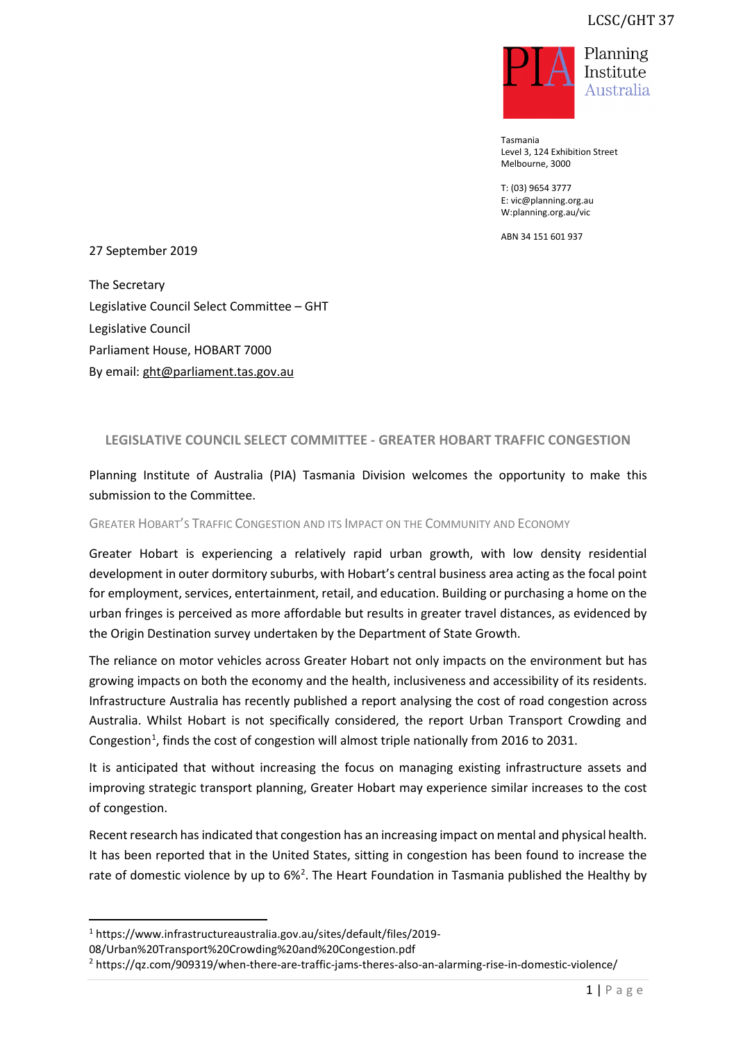

Tasmania Level 3, 124 Exhibition Street Melbourne, 3000

T: (03) 9654 3777 E: vic@planning.org.au W:planning.org.au/vic

ABN 34 151 601 937

27 September 2019

The Secretary Legislative Council Select Committee – GHT Legislative Council Parliament House, HOBART 7000 By email: ght@parliament.tas.gov.au

## **LEGISLATIVE COUNCIL SELECT COMMITTEE - GREATER HOBART TRAFFIC CONGESTION**

Planning Institute of Australia (PIA) Tasmania Division welcomes the opportunity to make this submission to the Committee.

GREATER HOBART'S TRAFFIC CONGESTION AND ITS IMPACT ON THE COMMUNITY AND ECONOMY

Greater Hobart is experiencing a relatively rapid urban growth, with low density residential development in outer dormitory suburbs, with Hobart's central business area acting as the focal point for employment, services, entertainment, retail, and education. Building or purchasing a home on the urban fringes is perceived as more affordable but results in greater travel distances, as evidenced by the Origin Destination survey undertaken by the Department of State Growth.

The reliance on motor vehicles across Greater Hobart not only impacts on the environment but has growing impacts on both the economy and the health, inclusiveness and accessibility of its residents. Infrastructure Australia has recently published a report analysing the cost of road congestion across Australia. Whilst Hobart is not specifically considered, the report Urban Transport Crowding and Congestion<sup>[1](#page-0-0)</sup>, finds the cost of congestion will almost triple nationally from 2016 to 2031.

It is anticipated that without increasing the focus on managing existing infrastructure assets and improving strategic transport planning, Greater Hobart may experience similar increases to the cost of congestion.

Recent research has indicated that congestion has an increasing impact on mental and physical health. It has been reported that in the United States, sitting in congestion has been found to increase the rate of domestic violence by up to  $6\%$ <sup>[2](#page-0-1)</sup>. The Heart Foundation in Tasmania published the Healthy by

<span id="page-0-0"></span><sup>1</sup> https://www.infrastructureaustralia.gov.au/sites/default/files/2019-

<sup>08/</sup>Urban%20Transport%20Crowding%20and%20Congestion.pdf

<span id="page-0-1"></span><sup>2</sup> https://qz.com/909319/when-there-are-traffic-jams-theres-also-an-alarming-rise-in-domestic-violence/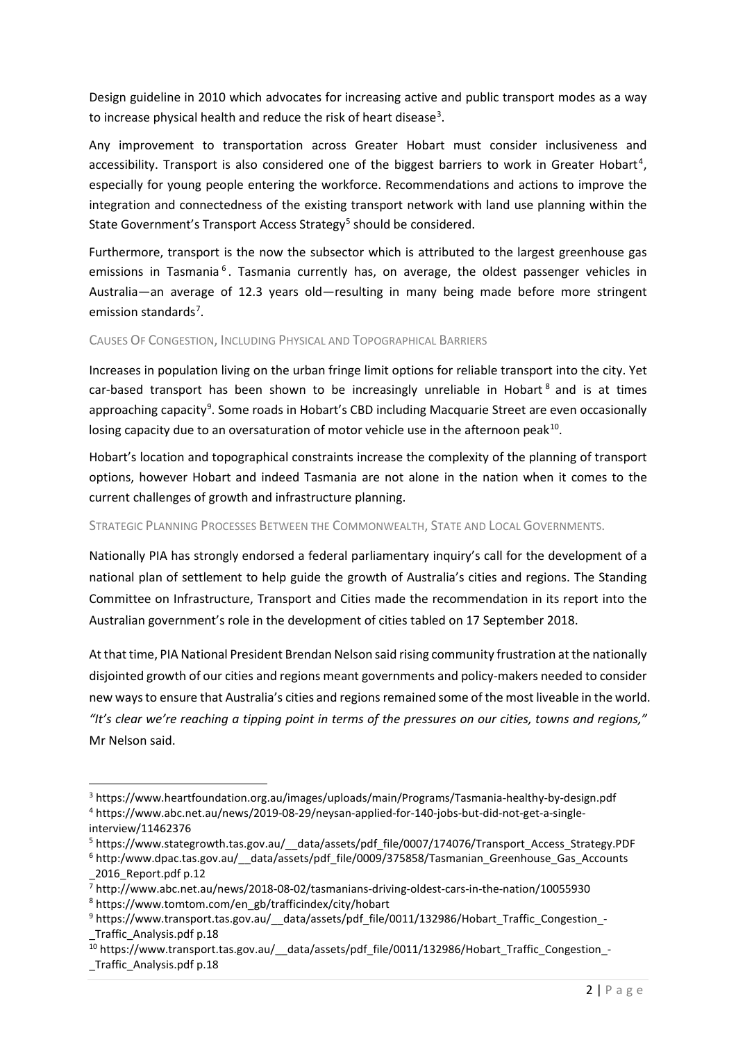Design guideline in 2010 which advocates for increasing active and public transport modes as a way to increase physical health and reduce the risk of heart disease<sup>[3](#page-1-0)</sup>.

Any improvement to transportation across Greater Hobart must consider inclusiveness and accessibility. Transport is also considered one of the biggest barriers to work in Greater Hobart<sup>[4](#page-1-1)</sup>, especially for young people entering the workforce. Recommendations and actions to improve the integration and connectedness of the existing transport network with land use planning within the State Government's Transport Access Strategy<sup>[5](#page-1-2)</sup> should be considered.

Furthermore, transport is the now the subsector which is attributed to the largest greenhouse gas emissions in Tasmania<sup>[6](#page-1-3)</sup>. Tasmania currently has, on average, the oldest passenger vehicles in Australia—an average of 12.3 years old—resulting in many being made before more stringent emission standards<sup>[7](#page-1-4)</sup>.

## CAUSES OF CONGESTION, INCLUDING PHYSICAL AND TOPOGRAPHICAL BARRIERS

Increases in population living on the urban fringe limit options for reliable transport into the city. Yet car-based transport has been shown to be increasingly unreliable in Hobart  $8$  and is at times approaching capacity<sup>[9](#page-1-6)</sup>. Some roads in Hobart's CBD including Macquarie Street are even occasionally losing capacity due to an oversaturation of motor vehicle use in the afternoon peak<sup>10</sup>.

Hobart's location and topographical constraints increase the complexity of the planning of transport options, however Hobart and indeed Tasmania are not alone in the nation when it comes to the current challenges of growth and infrastructure planning.

## STRATEGIC PLANNING PROCESSES BETWEEN THE COMMONWEALTH, STATE AND LOCAL GOVERNMENTS.

Nationally PIA has strongly endorsed a federal parliamentary inquiry's call for the development of a national plan of settlement to help guide the growth of Australia's cities and regions. The Standing Committee on Infrastructure, Transport and Cities made the recommendation in its report into the Australian government's role in the development of cities tabled on 17 September 2018.

At that time, PIA National President Brendan Nelson said rising community frustration at the nationally disjointed growth of our cities and regions meant governments and policy-makers needed to consider new ways to ensure that Australia's cities and regions remained some of the most liveable in the world. *"It's clear we're reaching a tipping point in terms of the pressures on our cities, towns and regions,"* Mr Nelson said.

<span id="page-1-1"></span><span id="page-1-0"></span><sup>3</sup> https://www.heartfoundation.org.au/images/uploads/main/Programs/Tasmania-healthy-by-design.pdf <sup>4</sup> https://www.abc.net.au/news/2019-08-29/neysan-applied-for-140-jobs-but-did-not-get-a-singleinterview/11462376

<span id="page-1-2"></span><sup>&</sup>lt;sup>5</sup> https://www.stategrowth.tas.gov.au/ data/assets/pdf file/0007/174076/Transport Access Strategy.PDF

<span id="page-1-3"></span><sup>6</sup> http:/www.dpac.tas.gov.au/\_\_data/assets/pdf\_file/0009/375858/Tasmanian\_Greenhouse\_Gas\_Accounts \_2016\_Report.pdf p.12

<span id="page-1-4"></span> $\overline{7}$  http://www.abc.net.au/news/2018-08-02/tasmanians-driving-oldest-cars-in-the-nation/10055930

<span id="page-1-5"></span><sup>8</sup> https://www.tomtom.com/en\_gb/trafficindex/city/hobart

<span id="page-1-6"></span><sup>9</sup> https://www.transport.tas.gov.au/\_\_data/assets/pdf\_file/0011/132986/Hobart\_Traffic\_Congestion\_- \_Traffic\_Analysis.pdf p.18

<span id="page-1-7"></span><sup>10</sup> https://www.transport.tas.gov.au/ \_data/assets/pdf\_file/0011/132986/Hobart\_Traffic\_Congestion\_-\_Traffic\_Analysis.pdf p.18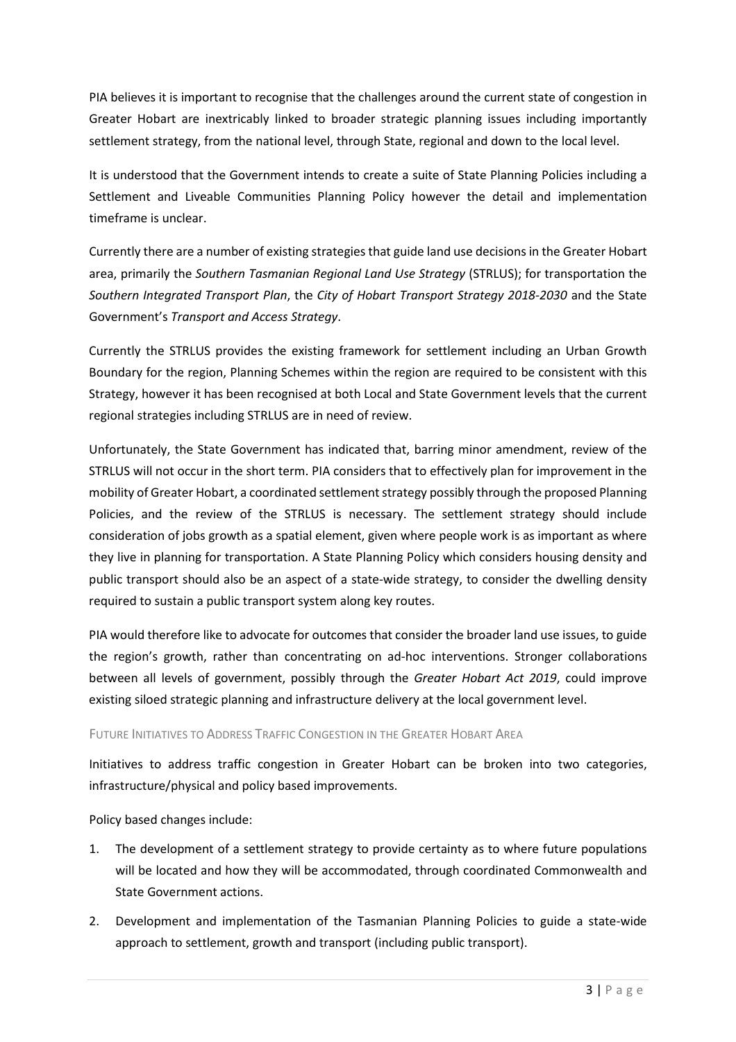PIA believes it is important to recognise that the challenges around the current state of congestion in Greater Hobart are inextricably linked to broader strategic planning issues including importantly settlement strategy, from the national level, through State, regional and down to the local level.

It is understood that the Government intends to create a suite of State Planning Policies including a Settlement and Liveable Communities Planning Policy however the detail and implementation timeframe is unclear.

Currently there are a number of existing strategies that guide land use decisions in the Greater Hobart area, primarily the *Southern Tasmanian Regional Land Use Strategy* (STRLUS); for transportation the *Southern Integrated Transport Plan*, the *City of Hobart Transport Strategy 2018-2030* and the State Government's *Transport and Access Strategy*.

Currently the STRLUS provides the existing framework for settlement including an Urban Growth Boundary for the region, Planning Schemes within the region are required to be consistent with this Strategy, however it has been recognised at both Local and State Government levels that the current regional strategies including STRLUS are in need of review.

Unfortunately, the State Government has indicated that, barring minor amendment, review of the STRLUS will not occur in the short term. PIA considers that to effectively plan for improvement in the mobility of Greater Hobart, a coordinated settlement strategy possibly through the proposed Planning Policies, and the review of the STRLUS is necessary. The settlement strategy should include consideration of jobs growth as a spatial element, given where people work is as important as where they live in planning for transportation. A State Planning Policy which considers housing density and public transport should also be an aspect of a state-wide strategy, to consider the dwelling density required to sustain a public transport system along key routes.

PIA would therefore like to advocate for outcomes that consider the broader land use issues, to guide the region's growth, rather than concentrating on ad-hoc interventions. Stronger collaborations between all levels of government, possibly through the *Greater Hobart Act 2019*, could improve existing siloed strategic planning and infrastructure delivery at the local government level.

## FUTURE INITIATIVES TO ADDRESS TRAFFIC CONGESTION IN THE GREATER HOBART AREA

Initiatives to address traffic congestion in Greater Hobart can be broken into two categories, infrastructure/physical and policy based improvements.

Policy based changes include:

- 1. The development of a settlement strategy to provide certainty as to where future populations will be located and how they will be accommodated, through coordinated Commonwealth and State Government actions.
- 2. Development and implementation of the Tasmanian Planning Policies to guide a state-wide approach to settlement, growth and transport (including public transport).